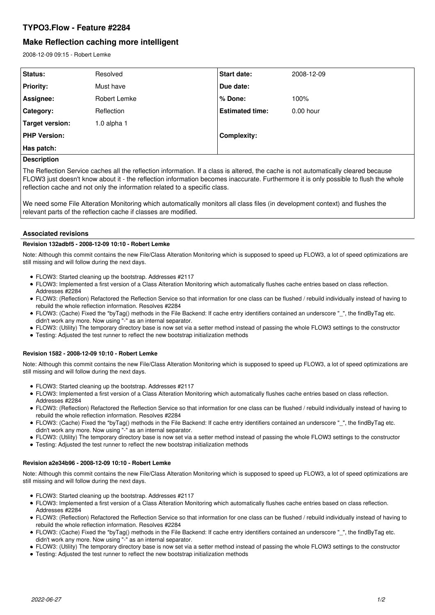## **TYPO3.Flow - Feature #2284**

# **Make Reflection caching more intelligent**

2008-12-09 09:15 - Robert Lemke

| <b>Status:</b>      | Resolved        | <b>Start date:</b>     | 2008-12-09  |
|---------------------|-----------------|------------------------|-------------|
| <b>Priority:</b>    | Must have       | Due date:              |             |
| Assignee:           | Robert Lemke    | % Done:                | 100%        |
| <b>Category:</b>    | Reflection      | <b>Estimated time:</b> | $0.00$ hour |
| Target version:     | $1.0$ alpha $1$ |                        |             |
| <b>PHP Version:</b> |                 | <b>Complexity:</b>     |             |
| Has patch:          |                 |                        |             |

#### **Description**

The Reflection Service caches all the reflection information. If a class is altered, the cache is not automatically cleared because FLOW3 just doesn't know about it - the reflection information becomes inaccurate. Furthermore it is only possible to flush the whole reflection cache and not only the information related to a specific class.

We need some File Alteration Monitoring which automatically monitors all class files (in development context) and flushes the relevant parts of the reflection cache if classes are modified.

### **Associated revisions**

#### **Revision 132adbf5 - 2008-12-09 10:10 - Robert Lemke**

Note: Although this commit contains the new File/Class Alteration Monitoring which is supposed to speed up FLOW3, a lot of speed optimizations are still missing and will follow during the next days.

- FLOW3: Started cleaning up the bootstrap. Addresses #2117
- FLOW3: Implemented a first version of a Class Alteration Monitoring which automatically flushes cache entries based on class reflection. Addresses #2284
- FLOW3: (Reflection) Refactored the Reflection Service so that information for one class can be flushed / rebuild individually instead of having to rebuild the whole reflection information. Resolves #2284
- FLOW3: (Cache) Fixed the \*byTag() methods in the File Backend: If cache entry identifiers contained an underscore "\_", the findByTag etc. didn't work any more. Now using "-" as an internal separator.
- FLOW3: (Utility) The temporary directory base is now set via a setter method instead of passing the whole FLOW3 settings to the constructor
- Testing: Adjusted the test runner to reflect the new bootstrap initialization methods

#### **Revision 1582 - 2008-12-09 10:10 - Robert Lemke**

Note: Although this commit contains the new File/Class Alteration Monitoring which is supposed to speed up FLOW3, a lot of speed optimizations are still missing and will follow during the next days.

- FLOW3: Started cleaning up the bootstrap. Addresses #2117
- FLOW3: Implemented a first version of a Class Alteration Monitoring which automatically flushes cache entries based on class reflection. Addresses #2284
- FLOW3: (Reflection) Refactored the Reflection Service so that information for one class can be flushed / rebuild individually instead of having to rebuild the whole reflection information. Resolves #2284
- FLOW3: (Cache) Fixed the \*byTag() methods in the File Backend: If cache entry identifiers contained an underscore " ", the findByTag etc. didn't work any more. Now using "-" as an internal separator.
- FLOW3: (Utility) The temporary directory base is now set via a setter method instead of passing the whole FLOW3 settings to the constructor
- Testing: Adjusted the test runner to reflect the new bootstrap initialization methods

#### **Revision a2e34b96 - 2008-12-09 10:10 - Robert Lemke**

Note: Although this commit contains the new File/Class Alteration Monitoring which is supposed to speed up FLOW3, a lot of speed optimizations are still missing and will follow during the next days.

- FLOW3: Started cleaning up the bootstrap. Addresses #2117
- FLOW3: Implemented a first version of a Class Alteration Monitoring which automatically flushes cache entries based on class reflection. Addresses #2284
- FLOW3: (Reflection) Refactored the Reflection Service so that information for one class can be flushed / rebuild individually instead of having to rebuild the whole reflection information. Resolves #2284
- FLOW3: (Cache) Fixed the \*byTag() methods in the File Backend: If cache entry identifiers contained an underscore " ", the findByTag etc. didn't work any more. Now using "-" as an internal separator.
- FLOW3: (Utility) The temporary directory base is now set via a setter method instead of passing the whole FLOW3 settings to the constructor
- Testing: Adjusted the test runner to reflect the new bootstrap initialization methods